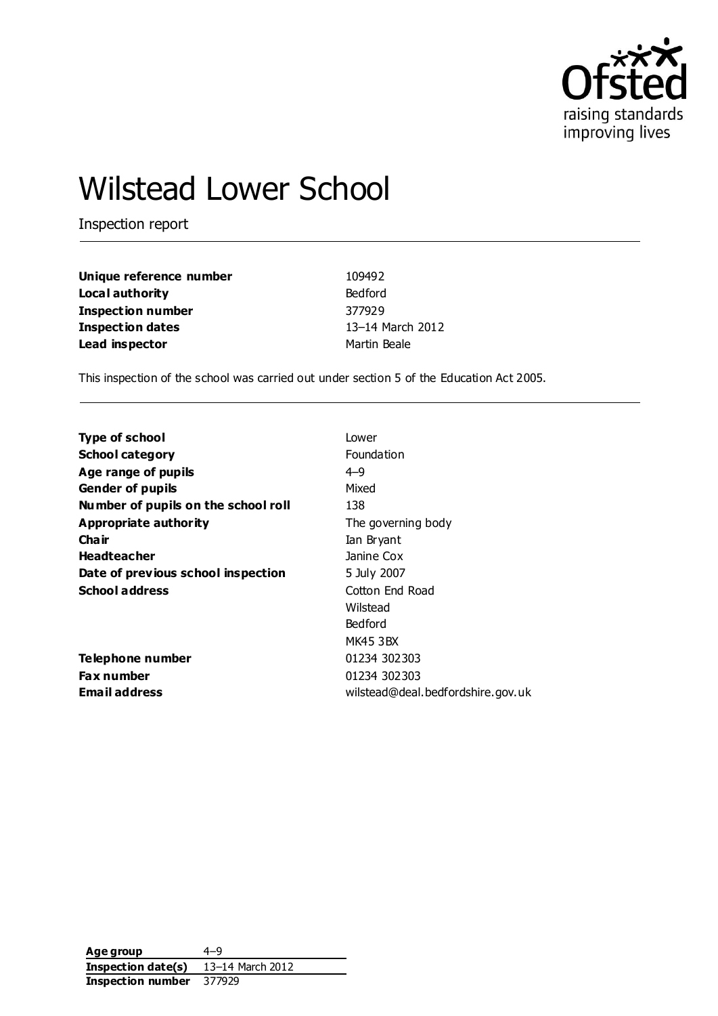

# Wilstead Lower School

Inspection report

| Unique reference number | 109492           |
|-------------------------|------------------|
| Local authority         | Bedford          |
| Inspection number       | 377929           |
| <b>Inspection dates</b> | 13-14 March 2012 |
| Lead inspector          | Martin Beale     |

This inspection of the school was carried out under section 5 of the Education Act 2005.

| <b>Type of school</b>               | Lower                             |
|-------------------------------------|-----------------------------------|
| <b>School category</b>              | Foundation                        |
| Age range of pupils                 | $4 - 9$                           |
| <b>Gender of pupils</b>             | Mixed                             |
| Number of pupils on the school roll | 138                               |
| <b>Appropriate authority</b>        | The governing body                |
| Cha ir                              | Ian Bryant                        |
| <b>Headteacher</b>                  | Janine Cox                        |
| Date of previous school inspection  | 5 July 2007                       |
| <b>School address</b>               | Cotton End Road                   |
|                                     | Wilstead                          |
|                                     | Bedford                           |
|                                     | MK45 3BX                          |
| <b>Telephone number</b>             | 01234 302303                      |
| <b>Fax number</b>                   | 01234 302303                      |
| <b>Email address</b>                | wilstead@deal.bedfordshire.gov.uk |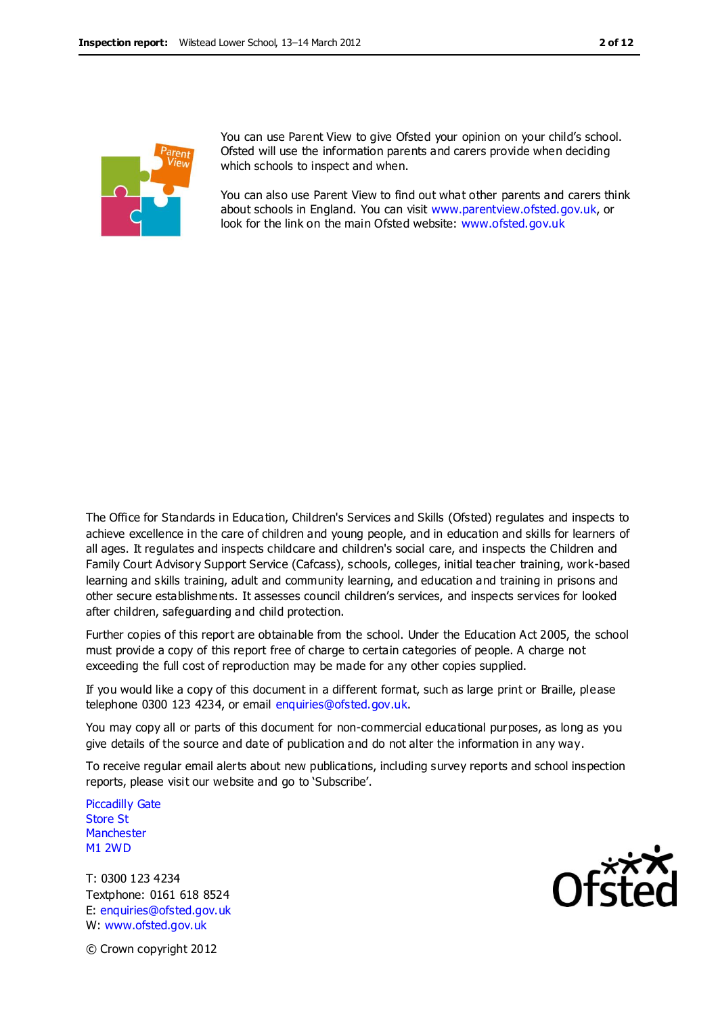

You can use Parent View to give Ofsted your opinion on your child's school. Ofsted will use the information parents and carers provide when deciding which schools to inspect and when.

You can also use Parent View to find out what other parents and carers think about schools in England. You can visit [www.parentview.ofsted.gov.uk,](http://www.parentview.ofsted.gov.uk/) or look for the link on the main Ofsted website: [www.ofsted.gov.uk](http://www.ofsted.gov.uk/)

The Office for Standards in Education, Children's Services and Skills (Ofsted) regulates and inspects to achieve excellence in the care of children and young people, and in education and skills for learners of all ages. It regulates and inspects childcare and children's social care, and inspects the Children and Family Court Advisory Support Service (Cafcass), schools, colleges, initial teacher training, work-based learning and skills training, adult and community learning, and education and training in prisons and other secure establishments. It assesses council children's services, and inspects services for looked after children, safeguarding and child protection.

Further copies of this report are obtainable from the school. Under the Education Act 2005, the school must provide a copy of this report free of charge to certain categories of people. A charge not exceeding the full cost of reproduction may be made for any other copies supplied.

If you would like a copy of this document in a different format, such as large print or Braille, please telephone 0300 123 4234, or email enquiries@ofsted.gov.uk.

You may copy all or parts of this document for non-commercial educational purposes, as long as you give details of the source and date of publication and do not alter the information in any way.

To receive regular email alerts about new publications, including survey reports and school inspection reports, please visit our website and go to 'Subscribe'.

Piccadilly Gate Store St **Manchester** M1 2WD

T: 0300 123 4234 Textphone: 0161 618 8524 E: enquiries@ofsted.gov.uk W: www.ofsted.gov.uk



© Crown copyright 2012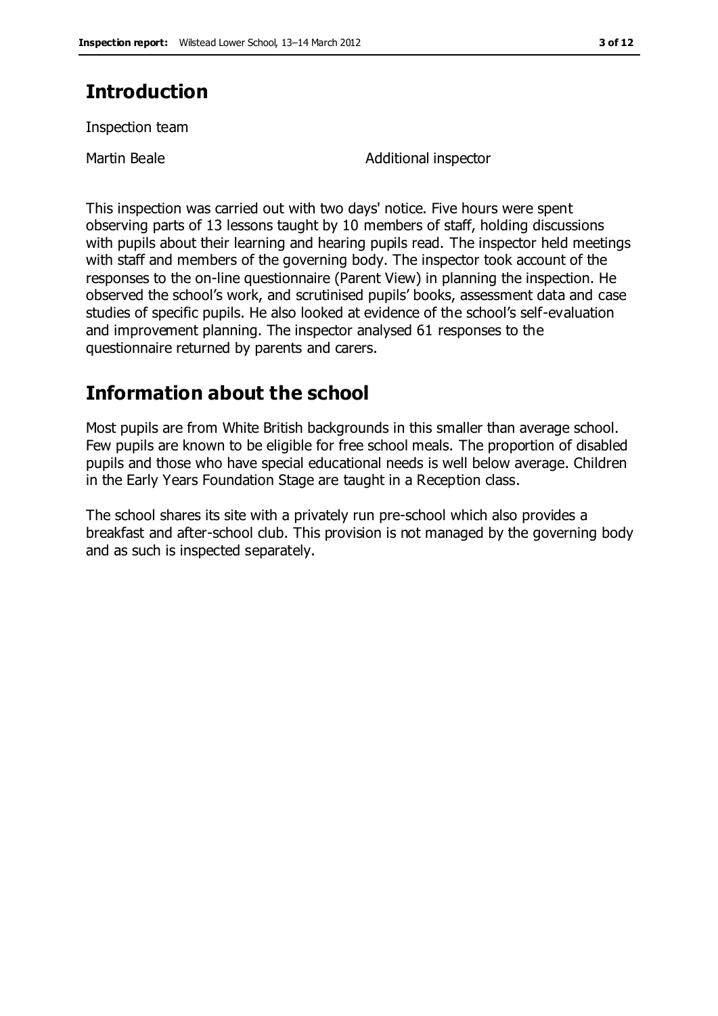# **Introduction**

Inspection team

Martin Beale **Additional** inspector

This inspection was carried out with two days' notice. Five hours were spent observing parts of 13 lessons taught by 10 members of staff, holding discussions with pupils about their learning and hearing pupils read. The inspector held meetings with staff and members of the governing body. The inspector took account of the responses to the on-line questionnaire (Parent View) in planning the inspection. He observed the school's work, and scrutinised pupils' books, assessment data and case studies of specific pupils. He also looked at evidence of the school's self-evaluation and improvement planning. The inspector analysed 61 responses to the questionnaire returned by parents and carers.

# **Information about the school**

Most pupils are from White British backgrounds in this smaller than average school. Few pupils are known to be eligible for free school meals. The proportion of disabled pupils and those who have special educational needs is well below average. Children in the Early Years Foundation Stage are taught in a Reception class.

The school shares its site with a privately run pre-school which also provides a breakfast and after-school club. This provision is not managed by the governing body and as such is inspected separately.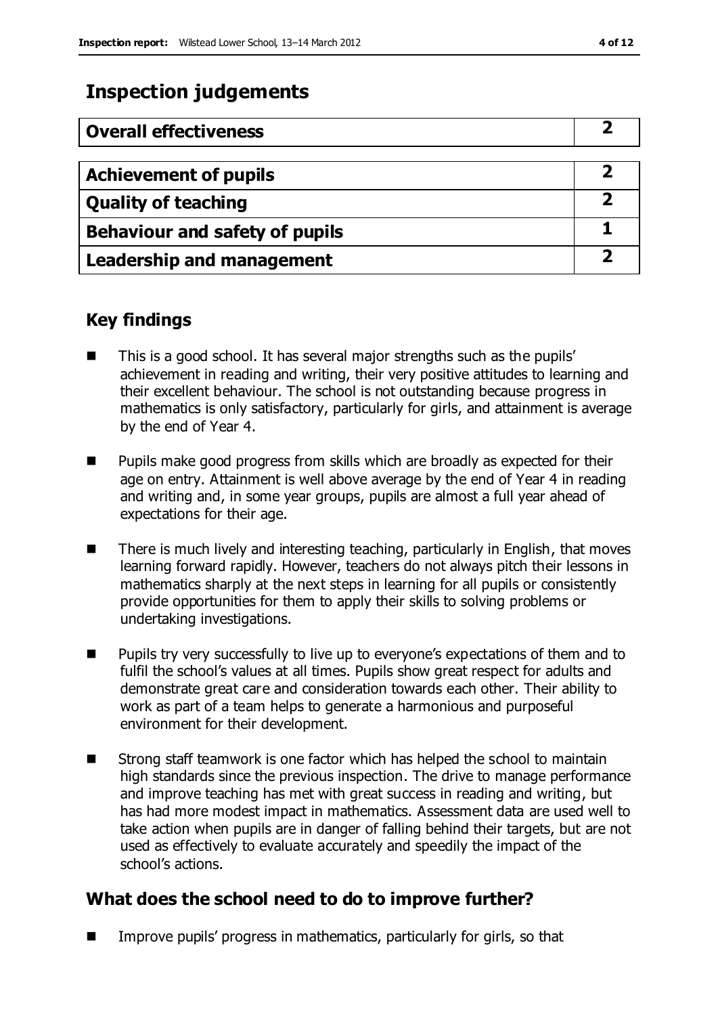## **Inspection judgements**

| <b>Overall effectiveness</b>     |  |
|----------------------------------|--|
|                                  |  |
| <b>Achievement of pupils</b>     |  |
| <b>Quality of teaching</b>       |  |
| Behaviour and safety of pupils   |  |
| <b>Leadership and management</b> |  |

### **Key findings**

- This is a good school. It has several major strengths such as the pupils' achievement in reading and writing, their very positive attitudes to learning and their excellent behaviour. The school is not outstanding because progress in mathematics is only satisfactory, particularly for girls, and attainment is average by the end of Year 4.
- **Pupils make good progress from skills which are broadly as expected for their** age on entry. Attainment is well above average by the end of Year 4 in reading and writing and, in some year groups, pupils are almost a full year ahead of expectations for their age.
- There is much lively and interesting teaching, particularly in English, that moves learning forward rapidly. However, teachers do not always pitch their lessons in mathematics sharply at the next steps in learning for all pupils or consistently provide opportunities for them to apply their skills to solving problems or undertaking investigations.
- **Pupils try very successfully to live up to everyone's expectations of them and to** fulfil the school's values at all times. Pupils show great respect for adults and demonstrate great care and consideration towards each other. Their ability to work as part of a team helps to generate a harmonious and purposeful environment for their development.
- Strong staff teamwork is one factor which has helped the school to maintain high standards since the previous inspection. The drive to manage performance and improve teaching has met with great success in reading and writing, but has had more modest impact in mathematics. Assessment data are used well to take action when pupils are in danger of falling behind their targets, but are not used as effectively to evaluate accurately and speedily the impact of the school's actions.

### **What does the school need to do to improve further?**

**IMPROVE PUPILS' progress in mathematics, particularly for girls, so that**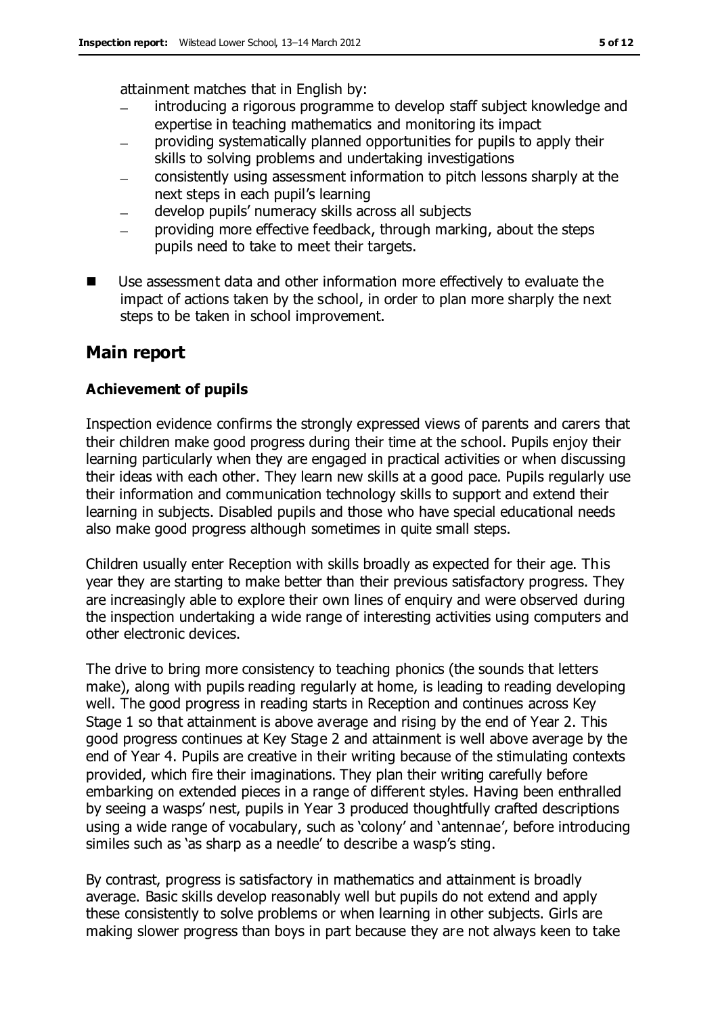attainment matches that in English by:

- introducing a rigorous programme to develop staff subject knowledge and expertise in teaching mathematics and monitoring its impact
- providing systematically planned opportunities for pupils to apply their skills to solving problems and undertaking investigations
- consistently using assessment information to pitch lessons sharply at the  $\equiv$ next steps in each pupil's learning
- develop pupils' numeracy skills across all subjects
- providing more effective feedback, through marking, about the steps pupils need to take to meet their targets.
- Use assessment data and other information more effectively to evaluate the impact of actions taken by the school, in order to plan more sharply the next steps to be taken in school improvement.

### **Main report**

#### **Achievement of pupils**

Inspection evidence confirms the strongly expressed views of parents and carers that their children make good progress during their time at the school. Pupils enjoy their learning particularly when they are engaged in practical activities or when discussing their ideas with each other. They learn new skills at a good pace. Pupils regularly use their information and communication technology skills to support and extend their learning in subjects. Disabled pupils and those who have special educational needs also make good progress although sometimes in quite small steps.

Children usually enter Reception with skills broadly as expected for their age. This year they are starting to make better than their previous satisfactory progress. They are increasingly able to explore their own lines of enquiry and were observed during the inspection undertaking a wide range of interesting activities using computers and other electronic devices.

The drive to bring more consistency to teaching phonics (the sounds that letters make), along with pupils reading regularly at home, is leading to reading developing well. The good progress in reading starts in Reception and continues across Key Stage 1 so that attainment is above average and rising by the end of Year 2. This good progress continues at Key Stage 2 and attainment is well above average by the end of Year 4. Pupils are creative in their writing because of the stimulating contexts provided, which fire their imaginations. They plan their writing carefully before embarking on extended pieces in a range of different styles. Having been enthralled by seeing a wasps' nest, pupils in Year 3 produced thoughtfully crafted descriptions using a wide range of vocabulary, such as 'colony' and 'antennae', before introducing similes such as 'as sharp as a needle' to describe a wasp's sting.

By contrast, progress is satisfactory in mathematics and attainment is broadly average. Basic skills develop reasonably well but pupils do not extend and apply these consistently to solve problems or when learning in other subjects. Girls are making slower progress than boys in part because they are not always keen to take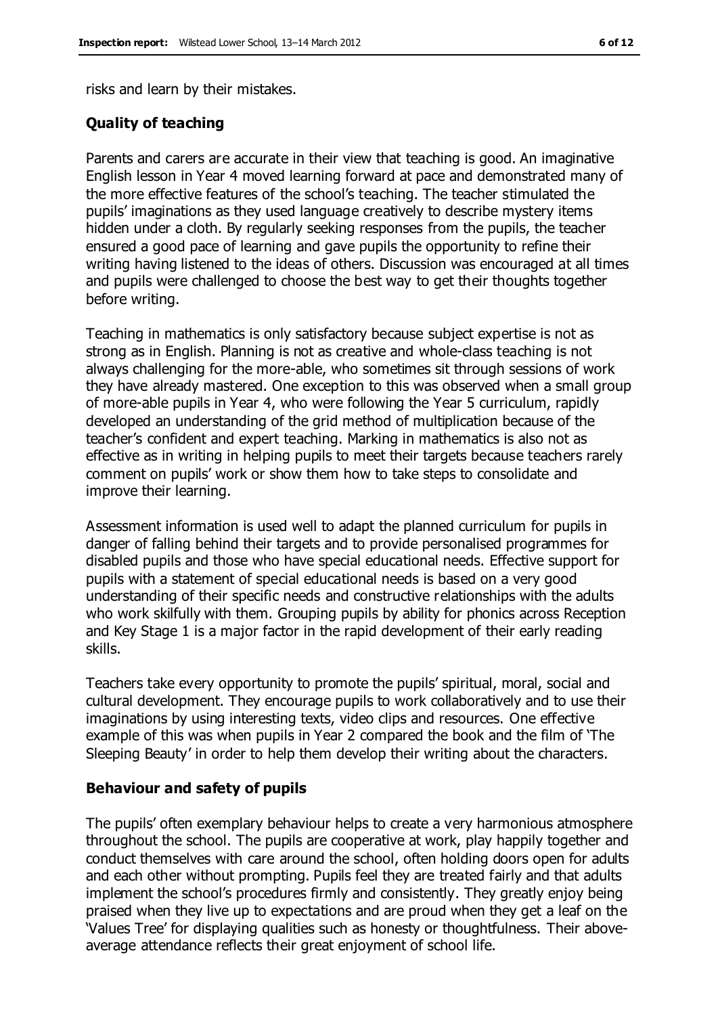risks and learn by their mistakes.

#### **Quality of teaching**

Parents and carers are accurate in their view that teaching is good. An imaginative English lesson in Year 4 moved learning forward at pace and demonstrated many of the more effective features of the school's teaching. The teacher stimulated the pupils' imaginations as they used language creatively to describe mystery items hidden under a cloth. By regularly seeking responses from the pupils, the teacher ensured a good pace of learning and gave pupils the opportunity to refine their writing having listened to the ideas of others. Discussion was encouraged at all times and pupils were challenged to choose the best way to get their thoughts together before writing.

Teaching in mathematics is only satisfactory because subject expertise is not as strong as in English. Planning is not as creative and whole-class teaching is not always challenging for the more-able, who sometimes sit through sessions of work they have already mastered. One exception to this was observed when a small group of more-able pupils in Year 4, who were following the Year 5 curriculum, rapidly developed an understanding of the grid method of multiplication because of the teacher's confident and expert teaching. Marking in mathematics is also not as effective as in writing in helping pupils to meet their targets because teachers rarely comment on pupils' work or show them how to take steps to consolidate and improve their learning.

Assessment information is used well to adapt the planned curriculum for pupils in danger of falling behind their targets and to provide personalised programmes for disabled pupils and those who have special educational needs. Effective support for pupils with a statement of special educational needs is based on a very good understanding of their specific needs and constructive relationships with the adults who work skilfully with them. Grouping pupils by ability for phonics across Reception and Key Stage 1 is a major factor in the rapid development of their early reading skills.

Teachers take every opportunity to promote the pupils' spiritual, moral, social and cultural development. They encourage pupils to work collaboratively and to use their imaginations by using interesting texts, video clips and resources. One effective example of this was when pupils in Year 2 compared the book and the film of 'The Sleeping Beauty' in order to help them develop their writing about the characters.

#### **Behaviour and safety of pupils**

The pupils' often exemplary behaviour helps to create a very harmonious atmosphere throughout the school. The pupils are cooperative at work, play happily together and conduct themselves with care around the school, often holding doors open for adults and each other without prompting. Pupils feel they are treated fairly and that adults implement the school's procedures firmly and consistently. They greatly enjoy being praised when they live up to expectations and are proud when they get a leaf on the 'Values Tree' for displaying qualities such as honesty or thoughtfulness. Their aboveaverage attendance reflects their great enjoyment of school life.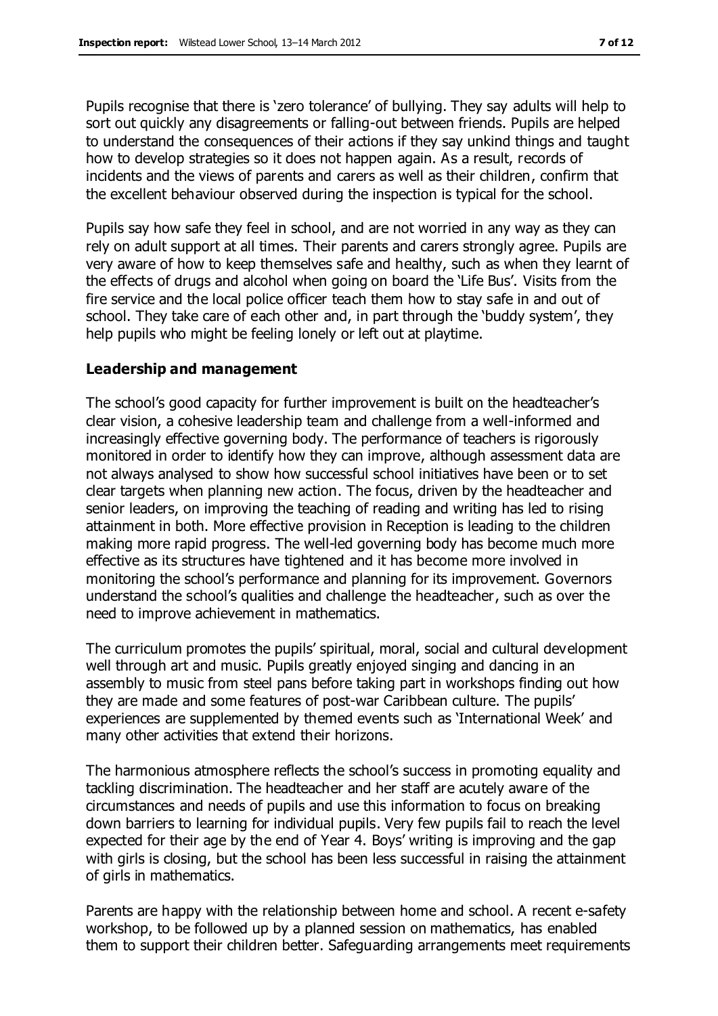Pupils recognise that there is 'zero tolerance' of bullying. They say adults will help to sort out quickly any disagreements or falling-out between friends. Pupils are helped to understand the consequences of their actions if they say unkind things and taught how to develop strategies so it does not happen again. As a result, records of incidents and the views of parents and carers as well as their children, confirm that the excellent behaviour observed during the inspection is typical for the school.

Pupils say how safe they feel in school, and are not worried in any way as they can rely on adult support at all times. Their parents and carers strongly agree. Pupils are very aware of how to keep themselves safe and healthy, such as when they learnt of the effects of drugs and alcohol when going on board the 'Life Bus'. Visits from the fire service and the local police officer teach them how to stay safe in and out of school. They take care of each other and, in part through the 'buddy system', they help pupils who might be feeling lonely or left out at playtime.

#### **Leadership and management**

The school's good capacity for further improvement is built on the headteacher's clear vision, a cohesive leadership team and challenge from a well-informed and increasingly effective governing body. The performance of teachers is rigorously monitored in order to identify how they can improve, although assessment data are not always analysed to show how successful school initiatives have been or to set clear targets when planning new action. The focus, driven by the headteacher and senior leaders, on improving the teaching of reading and writing has led to rising attainment in both. More effective provision in Reception is leading to the children making more rapid progress. The well-led governing body has become much more effective as its structures have tightened and it has become more involved in monitoring the school's performance and planning for its improvement. Governors understand the school's qualities and challenge the headteacher, such as over the need to improve achievement in mathematics.

The curriculum promotes the pupils' spiritual, moral, social and cultural development well through art and music. Pupils greatly enjoyed singing and dancing in an assembly to music from steel pans before taking part in workshops finding out how they are made and some features of post-war Caribbean culture. The pupils' experiences are supplemented by themed events such as 'International Week' and many other activities that extend their horizons.

The harmonious atmosphere reflects the school's success in promoting equality and tackling discrimination. The headteacher and her staff are acutely aware of the circumstances and needs of pupils and use this information to focus on breaking down barriers to learning for individual pupils. Very few pupils fail to reach the level expected for their age by the end of Year 4. Boys' writing is improving and the gap with girls is closing, but the school has been less successful in raising the attainment of girls in mathematics.

Parents are happy with the relationship between home and school. A recent e-safety workshop, to be followed up by a planned session on mathematics, has enabled them to support their children better. Safeguarding arrangements meet requirements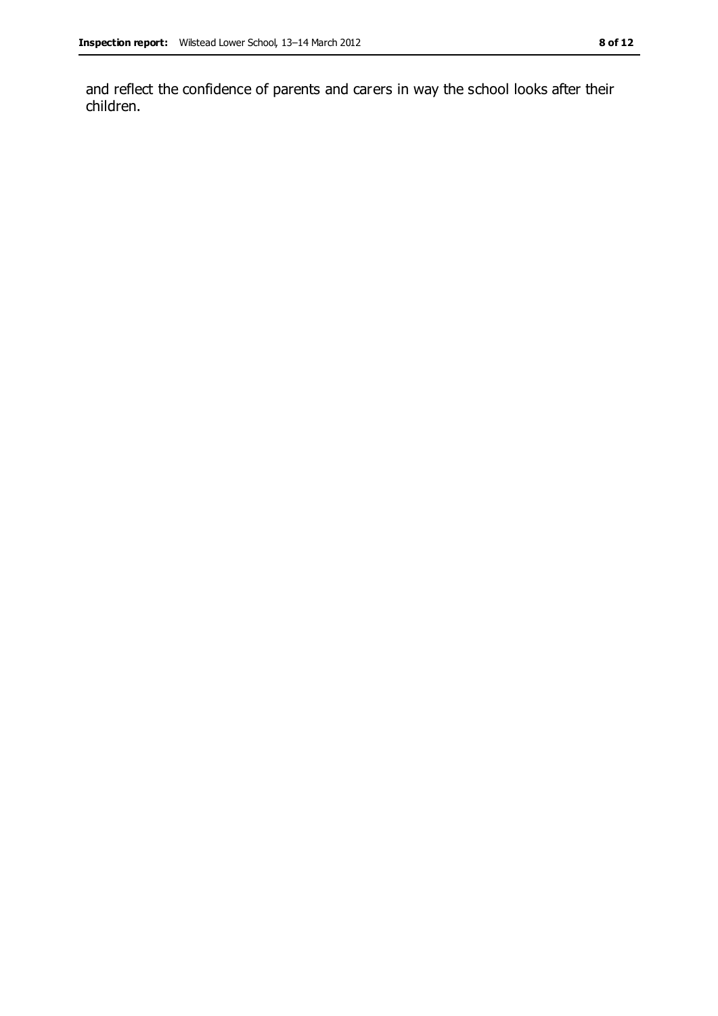and reflect the confidence of parents and carers in way the school looks after their children.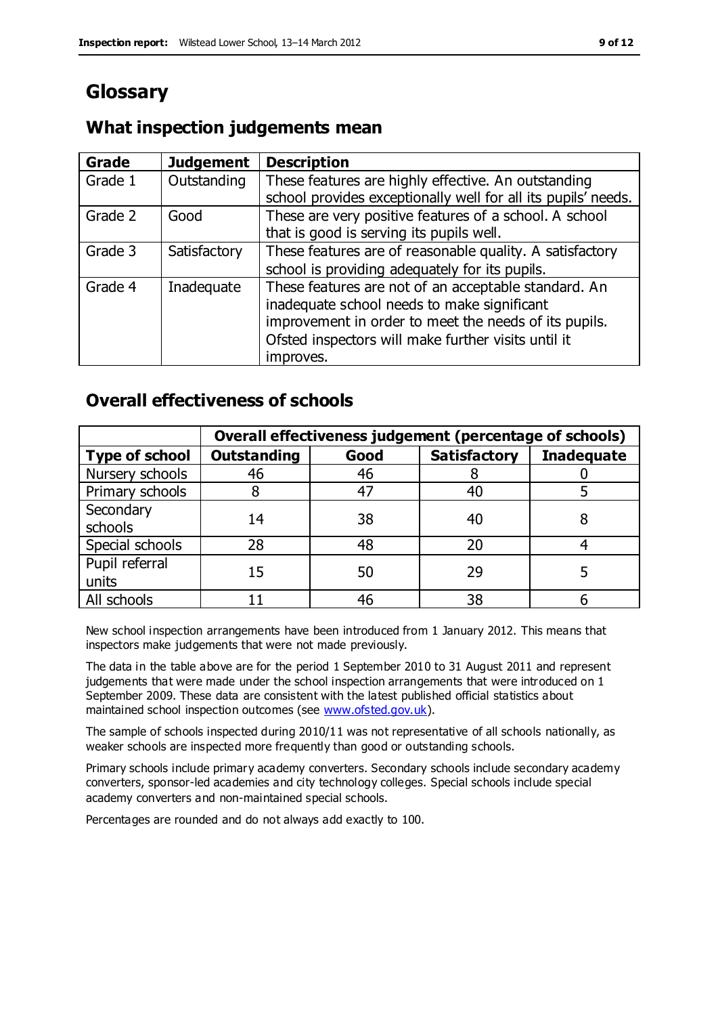# **Glossary**

### **What inspection judgements mean**

| <b>Grade</b> | <b>Judgement</b> | <b>Description</b>                                            |
|--------------|------------------|---------------------------------------------------------------|
| Grade 1      | Outstanding      | These features are highly effective. An outstanding           |
|              |                  | school provides exceptionally well for all its pupils' needs. |
| Grade 2      | Good             | These are very positive features of a school. A school        |
|              |                  | that is good is serving its pupils well.                      |
| Grade 3      | Satisfactory     | These features are of reasonable quality. A satisfactory      |
|              |                  | school is providing adequately for its pupils.                |
| Grade 4      | Inadequate       | These features are not of an acceptable standard. An          |
|              |                  | inadequate school needs to make significant                   |
|              |                  | improvement in order to meet the needs of its pupils.         |
|              |                  | Ofsted inspectors will make further visits until it           |
|              |                  | improves.                                                     |

### **Overall effectiveness of schools**

|                         | Overall effectiveness judgement (percentage of schools) |      |                     |                   |
|-------------------------|---------------------------------------------------------|------|---------------------|-------------------|
| <b>Type of school</b>   | <b>Outstanding</b>                                      | Good | <b>Satisfactory</b> | <b>Inadequate</b> |
| Nursery schools         | 46                                                      | 46   |                     |                   |
| Primary schools         |                                                         | 47   | 40                  |                   |
| Secondary<br>schools    | 14                                                      | 38   | 40                  |                   |
| Special schools         | 28                                                      | 48   | 20                  |                   |
| Pupil referral<br>units | 15                                                      | 50   | 29                  |                   |
| All schools             |                                                         | 46   | 38                  |                   |

New school inspection arrangements have been introduced from 1 January 2012. This means that inspectors make judgements that were not made previously.

The data in the table above are for the period 1 September 2010 to 31 August 2011 and represent judgements that were made under the school inspection arrangements that were introduced on 1 September 2009. These data are consistent with the latest published official statistics about maintained school inspection outcomes (see [www.ofsted.gov.uk\)](http://www.ofsted.gov.uk/).

The sample of schools inspected during 2010/11 was not representative of all schools nationally, as weaker schools are inspected more frequently than good or outstanding schools.

Primary schools include primary academy converters. Secondary schools include secondary academy converters, sponsor-led academies and city technology colleges. Special schools include special academy converters and non-maintained special schools.

Percentages are rounded and do not always add exactly to 100.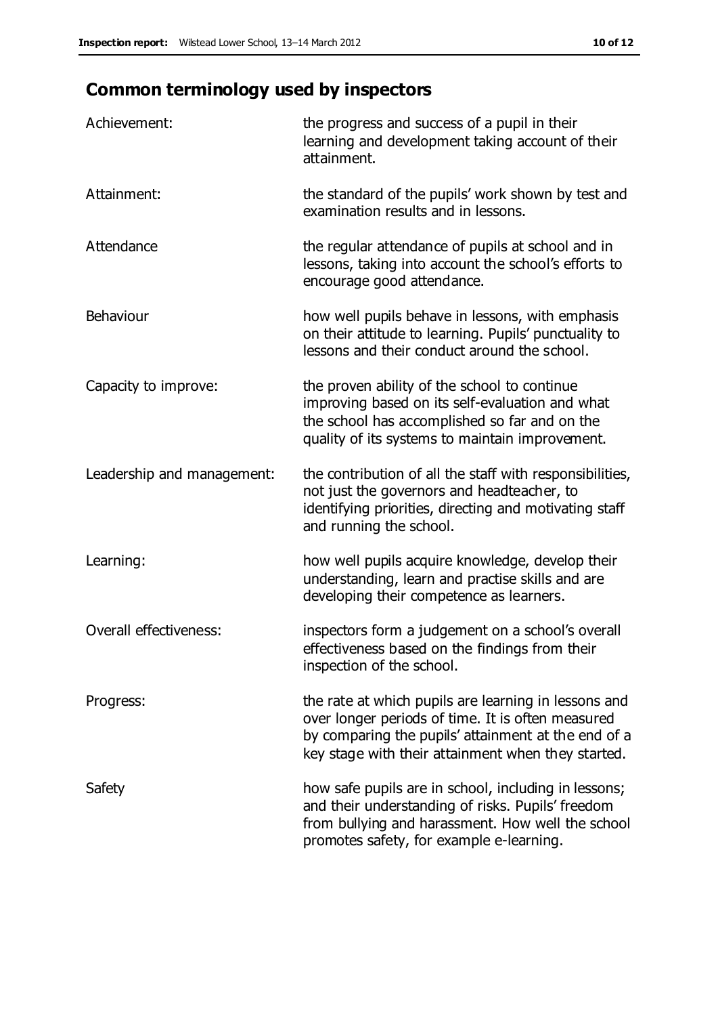# **Common terminology used by inspectors**

| Achievement:                  | the progress and success of a pupil in their<br>learning and development taking account of their<br>attainment.                                                                                                        |
|-------------------------------|------------------------------------------------------------------------------------------------------------------------------------------------------------------------------------------------------------------------|
| Attainment:                   | the standard of the pupils' work shown by test and<br>examination results and in lessons.                                                                                                                              |
| Attendance                    | the regular attendance of pupils at school and in<br>lessons, taking into account the school's efforts to<br>encourage good attendance.                                                                                |
| Behaviour                     | how well pupils behave in lessons, with emphasis<br>on their attitude to learning. Pupils' punctuality to<br>lessons and their conduct around the school.                                                              |
| Capacity to improve:          | the proven ability of the school to continue<br>improving based on its self-evaluation and what<br>the school has accomplished so far and on the<br>quality of its systems to maintain improvement.                    |
| Leadership and management:    | the contribution of all the staff with responsibilities,<br>not just the governors and headteacher, to<br>identifying priorities, directing and motivating staff<br>and running the school.                            |
| Learning:                     | how well pupils acquire knowledge, develop their<br>understanding, learn and practise skills and are<br>developing their competence as learners.                                                                       |
| <b>Overall effectiveness:</b> | inspectors form a judgement on a school's overall<br>effectiveness based on the findings from their<br>inspection of the school.                                                                                       |
| Progress:                     | the rate at which pupils are learning in lessons and<br>over longer periods of time. It is often measured<br>by comparing the pupils' attainment at the end of a<br>key stage with their attainment when they started. |
| Safety                        | how safe pupils are in school, including in lessons;<br>and their understanding of risks. Pupils' freedom<br>from bullying and harassment. How well the school<br>promotes safety, for example e-learning.             |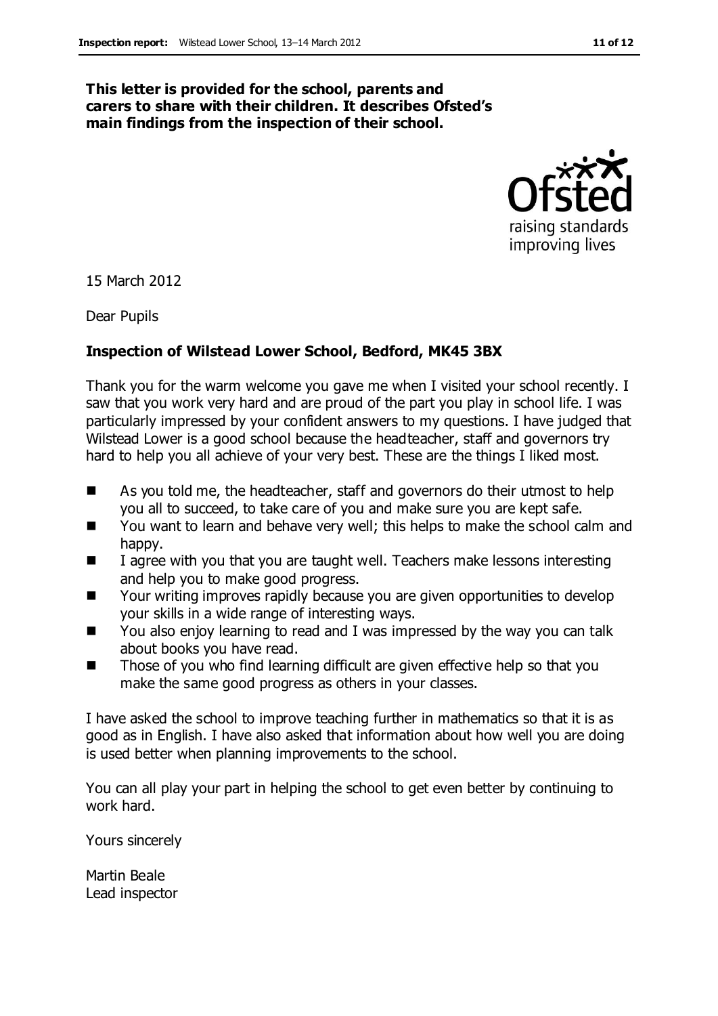#### **This letter is provided for the school, parents and carers to share with their children. It describes Ofsted's main findings from the inspection of their school.**



15 March 2012

Dear Pupils

#### **Inspection of Wilstead Lower School, Bedford, MK45 3BX**

Thank you for the warm welcome you gave me when I visited your school recently. I saw that you work very hard and are proud of the part you play in school life. I was particularly impressed by your confident answers to my questions. I have judged that Wilstead Lower is a good school because the headteacher, staff and governors try hard to help you all achieve of your very best. These are the things I liked most.

- As you told me, the headteacher, staff and governors do their utmost to help you all to succeed, to take care of you and make sure you are kept safe.
- You want to learn and behave very well; this helps to make the school calm and happy.
- $\blacksquare$  I agree with you that you are taught well. Teachers make lessons interesting and help you to make good progress.
- Your writing improves rapidly because you are given opportunities to develop your skills in a wide range of interesting ways.
- You also enjoy learning to read and I was impressed by the way you can talk about books you have read.
- Those of you who find learning difficult are given effective help so that you make the same good progress as others in your classes.

I have asked the school to improve teaching further in mathematics so that it is as good as in English. I have also asked that information about how well you are doing is used better when planning improvements to the school.

You can all play your part in helping the school to get even better by continuing to work hard.

Yours sincerely

Martin Beale Lead inspector